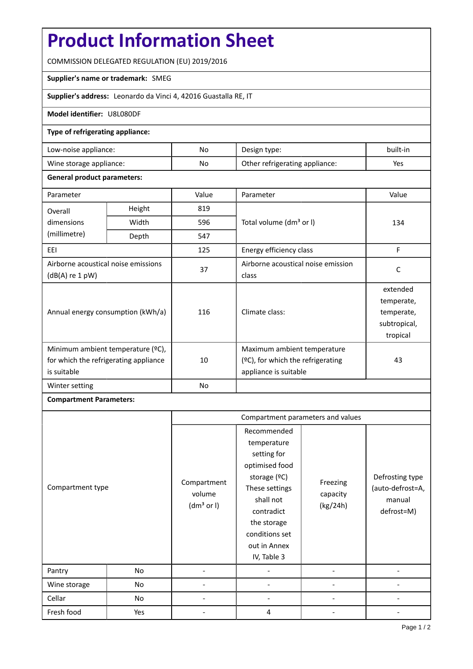# **Product Information Sheet**

COMMISSION DELEGATED REGULATION (EU) 2019/2016

# **Supplier's name or trademark:** SMEG

**Supplier's address:** Leonardo da Vinci 4, 42016 Guastalla RE, IT

# **Model identifier:** U8L080DF

## **Type of refrigerating appliance:**

| Low-noise appliance:    | No | Design type:                   | built-in |
|-------------------------|----|--------------------------------|----------|
| Wine storage appliance: | No | Other refrigerating appliance: | Yes      |

## **General product parameters:**

| Parameter                                                                                 |        | Value | Parameter                                                                                 | Value                                                            |
|-------------------------------------------------------------------------------------------|--------|-------|-------------------------------------------------------------------------------------------|------------------------------------------------------------------|
| Overall                                                                                   | Height | 819   |                                                                                           |                                                                  |
| dimensions                                                                                | Width  | 596   | Total volume (dm <sup>3</sup> or I)                                                       | 134                                                              |
| (millimetre)                                                                              | Depth  | 547   |                                                                                           |                                                                  |
| EEI                                                                                       |        | 125   | Energy efficiency class                                                                   | F                                                                |
| Airborne acoustical noise emissions<br>$(dB(A)$ re 1 pW)                                  |        | 37    | Airborne acoustical noise emission<br>class                                               | C                                                                |
| Annual energy consumption (kWh/a)                                                         |        | 116   | Climate class:                                                                            | extended<br>temperate,<br>temperate,<br>subtropical,<br>tropical |
| Minimum ambient temperature (°C),<br>for which the refrigerating appliance<br>is suitable |        | 10    | Maximum ambient temperature<br>(ºC), for which the refrigerating<br>appliance is suitable | 43                                                               |
| Winter setting                                                                            |        | No    |                                                                                           |                                                                  |

# **Compartment Parameters:**

|                  |     | Compartment parameters and values               |                                                                                                                                                                                          |                                  |                                                             |
|------------------|-----|-------------------------------------------------|------------------------------------------------------------------------------------------------------------------------------------------------------------------------------------------|----------------------------------|-------------------------------------------------------------|
| Compartment type |     | Compartment<br>volume<br>(dm <sup>3</sup> or I) | Recommended<br>temperature<br>setting for<br>optimised food<br>storage (ºC)<br>These settings<br>shall not<br>contradict<br>the storage<br>conditions set<br>out in Annex<br>IV, Table 3 | Freezing<br>capacity<br>(kg/24h) | Defrosting type<br>(auto-defrost=A,<br>manual<br>defrost=M) |
| Pantry           | No  |                                                 |                                                                                                                                                                                          |                                  |                                                             |
| Wine storage     | No  |                                                 |                                                                                                                                                                                          |                                  |                                                             |
| Cellar           | No  |                                                 |                                                                                                                                                                                          |                                  |                                                             |
| Fresh food       | Yes |                                                 | 4                                                                                                                                                                                        |                                  |                                                             |